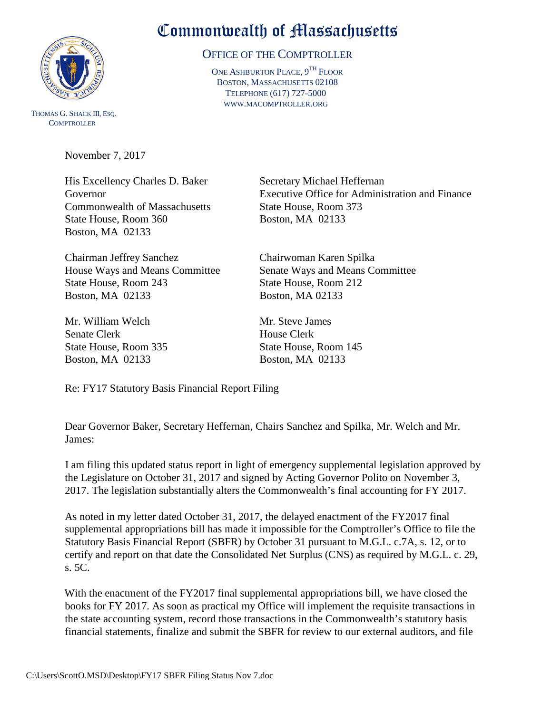

 THOMAS G. SHACK III, ESQ. **COMPTROLLER** 

## Commonwealth of Massachusetts

## OFFICE OF THE COMPTROLLER

ONE ASHBURTON PLACE, 9<sup>TH</sup> FLOOR BOSTON, MASSACHUSETTS 02108 TELEPHONE (617) 727-5000 WWW.MACOMPTROLLER.ORG

November 7, 2017

His Excellency Charles D. Baker Secretary Michael Heffernan Commonwealth of Massachusetts State House, Room 373 State House, Room 360 Boston, MA 02133 Boston, MA 02133

Chairman Jeffrey Sanchez Chairwoman Karen Spilka State House, Room 243 State House, Room 212 Boston, MA 02133 Boston, MA 02133

Mr. William Welch Mr. Steve James Senate Clerk House Clerk State House, Room 335 State House, Room 145 Boston, MA 02133 Boston, MA 02133

Governor Executive Office for Administration and Finance

House Ways and Means Committee Senate Ways and Means Committee

Re: FY17 Statutory Basis Financial Report Filing

Dear Governor Baker, Secretary Heffernan, Chairs Sanchez and Spilka, Mr. Welch and Mr. James:

I am filing this updated status report in light of emergency supplemental legislation approved by the Legislature on October 31, 2017 and signed by Acting Governor Polito on November 3, 2017. The legislation substantially alters the Commonwealth's final accounting for FY 2017.

As noted in my letter dated October 31, 2017, the delayed enactment of the FY2017 final supplemental appropriations bill has made it impossible for the Comptroller's Office to file the Statutory Basis Financial Report (SBFR) by October 31 pursuant to M.G.L. c.7A, s. 12, or to certify and report on that date the Consolidated Net Surplus (CNS) as required by M.G.L. c. 29, s. 5C.

With the enactment of the FY2017 final supplemental appropriations bill, we have closed the books for FY 2017. As soon as practical my Office will implement the requisite transactions in the state accounting system, record those transactions in the Commonwealth's statutory basis financial statements, finalize and submit the SBFR for review to our external auditors, and file